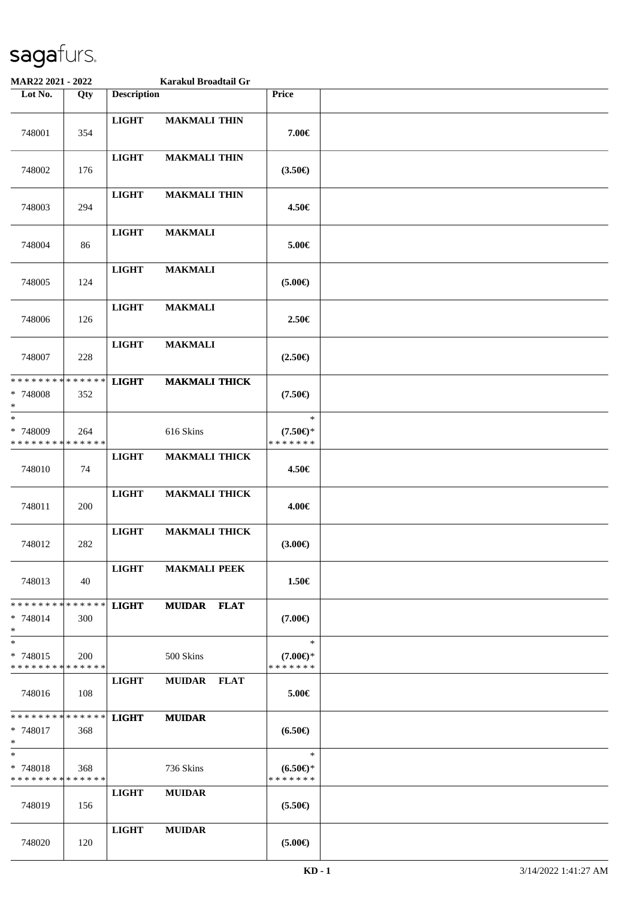| MAR22 2021 - 2022                                  |     |                    | Karakul Broadtail Gr |                                               |  |
|----------------------------------------------------|-----|--------------------|----------------------|-----------------------------------------------|--|
| Lot No.                                            | Qty | <b>Description</b> |                      | Price                                         |  |
| 748001                                             | 354 | <b>LIGHT</b>       | <b>MAKMALI THIN</b>  | 7.00€                                         |  |
| 748002                                             | 176 | <b>LIGHT</b>       | <b>MAKMALI THIN</b>  | $(3.50\epsilon)$                              |  |
| 748003                                             | 294 | <b>LIGHT</b>       | <b>MAKMALI THIN</b>  | 4.50€                                         |  |
| 748004                                             | 86  | <b>LIGHT</b>       | <b>MAKMALI</b>       | 5.00€                                         |  |
| 748005                                             | 124 | <b>LIGHT</b>       | <b>MAKMALI</b>       | $(5.00\epsilon)$                              |  |
| 748006                                             | 126 | <b>LIGHT</b>       | <b>MAKMALI</b>       | 2.50€                                         |  |
| 748007                                             | 228 | <b>LIGHT</b>       | <b>MAKMALI</b>       | $(2.50\epsilon)$                              |  |
| * * * * * * * * * * * * * *<br>* 748008<br>$\ast$  | 352 | <b>LIGHT</b>       | <b>MAKMALI THICK</b> | $(7.50\epsilon)$                              |  |
| $\ast$<br>* 748009<br>* * * * * * * * * * * * * *  | 264 |                    | 616 Skins            | $\ast$<br>$(7.50 \in )^*$<br>* * * * * * *    |  |
| 748010                                             | 74  | <b>LIGHT</b>       | <b>MAKMALI THICK</b> | 4.50€                                         |  |
| 748011                                             | 200 | <b>LIGHT</b>       | <b>MAKMALI THICK</b> | 4.00€                                         |  |
| 748012                                             | 282 | <b>LIGHT</b>       | <b>MAKMALI THICK</b> | $(3.00\epsilon)$                              |  |
| 748013                                             | 40  | <b>LIGHT</b>       | <b>MAKMALI PEEK</b>  | 1.50€                                         |  |
| * * * * * * * * * * * * * * *<br>$* 748014$<br>$*$ | 300 | <b>LIGHT</b>       | <b>MUIDAR FLAT</b>   | $(7.00\epsilon)$                              |  |
| $*$<br>* 748015<br>* * * * * * * * * * * * * *     | 200 |                    | 500 Skins            | $\ast$<br>$(7.00\epsilon)$ *<br>* * * * * * * |  |
| 748016                                             | 108 | <b>LIGHT</b>       | MUIDAR FLAT          | 5.00€                                         |  |
| * * * * * * * * * * * * * * *<br>* 748017<br>$*$   | 368 | <b>LIGHT</b>       | <b>MUIDAR</b>        | $(6.50\epsilon)$                              |  |
| $\ast$<br>* 748018<br>* * * * * * * * * * * * * *  | 368 |                    | 736 Skins            | $\ast$<br>$(6.50 \in )^*$<br>* * * * * * *    |  |
| 748019                                             | 156 | <b>LIGHT</b>       | <b>MUIDAR</b>        | $(5.50\epsilon)$                              |  |
| 748020                                             | 120 | <b>LIGHT</b>       | <b>MUIDAR</b>        | $(5.00\epsilon)$                              |  |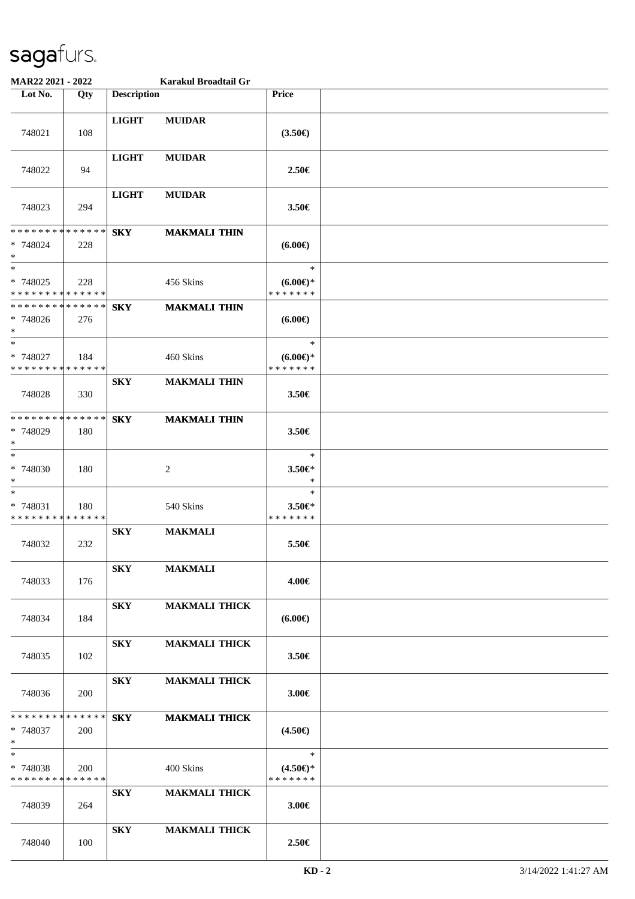| MAR22 2021 - 2022                                 |     |                         | Karakul Broadtail Gr |                                               |  |
|---------------------------------------------------|-----|-------------------------|----------------------|-----------------------------------------------|--|
| Lot No.                                           | Qty | <b>Description</b>      |                      | <b>Price</b>                                  |  |
| 748021                                            | 108 | <b>LIGHT</b>            | <b>MUIDAR</b>        | (3.50)                                        |  |
| 748022                                            | 94  | <b>LIGHT</b>            | <b>MUIDAR</b>        | 2.50€                                         |  |
| 748023                                            | 294 | <b>LIGHT</b>            | <b>MUIDAR</b>        | 3.50€                                         |  |
| * * * * * * * * * * * * * *<br>* 748024<br>$\ast$ | 228 | <b>SKY</b>              | <b>MAKMALI THIN</b>  | $(6.00\epsilon)$                              |  |
| $*$<br>* 748025<br>* * * * * * * * * * * * * *    | 228 |                         | 456 Skins            | $\ast$<br>$(6.00\epsilon)$ *<br>* * * * * * * |  |
| * * * * * * * * * * * * * *<br>* 748026<br>$*$    | 276 | <b>SKY</b>              | <b>MAKMALI THIN</b>  | (6.00)                                        |  |
| $*$<br>* 748027<br>* * * * * * * * * * * * * *    | 184 |                         | 460 Skins            | $\ast$<br>$(6.00E)$ *<br>* * * * * * *        |  |
| 748028                                            | 330 | <b>SKY</b>              | <b>MAKMALI THIN</b>  | 3.50€                                         |  |
| * * * * * * * * * * * * * *<br>* 748029<br>$*$    | 180 | ${\bf S}{\bf K}{\bf Y}$ | <b>MAKMALI THIN</b>  | 3.50€                                         |  |
| $*$<br>$* 748030$<br>$*$                          | 180 |                         | 2                    | $\ast$<br>3.50€*<br>$\ast$                    |  |
| $\ast$<br>* 748031<br>* * * * * * * * * * * * * * | 180 |                         | 540 Skins            | $\ast$<br>3.50€*<br>* * * * * * *             |  |
| 748032                                            | 232 | <b>SKY</b>              | <b>MAKMALI</b>       | 5.50€                                         |  |
| 748033                                            | 176 | <b>SKY</b>              | <b>MAKMALI</b>       | 4.00€                                         |  |
| 748034                                            | 184 | <b>SKY</b>              | <b>MAKMALI THICK</b> | $(6.00\epsilon)$                              |  |
| 748035                                            | 102 | <b>SKY</b>              | <b>MAKMALI THICK</b> | 3.50€                                         |  |
| 748036                                            | 200 | ${\bf S}{\bf K}{\bf Y}$ | <b>MAKMALI THICK</b> | 3.00€                                         |  |
| * * * * * * * * * * * * * *<br>* 748037<br>$*$    | 200 | <b>SKY</b>              | <b>MAKMALI THICK</b> | $(4.50\epsilon)$                              |  |
| $*$<br>* 748038<br>* * * * * * * * * * * * * *    | 200 |                         | 400 Skins            | $\ast$<br>$(4.50 \in )^*$<br>* * * * * * *    |  |
| 748039                                            | 264 | <b>SKY</b>              | <b>MAKMALI THICK</b> | 3.00€                                         |  |
| 748040                                            | 100 | <b>SKY</b>              | <b>MAKMALI THICK</b> | 2.50€                                         |  |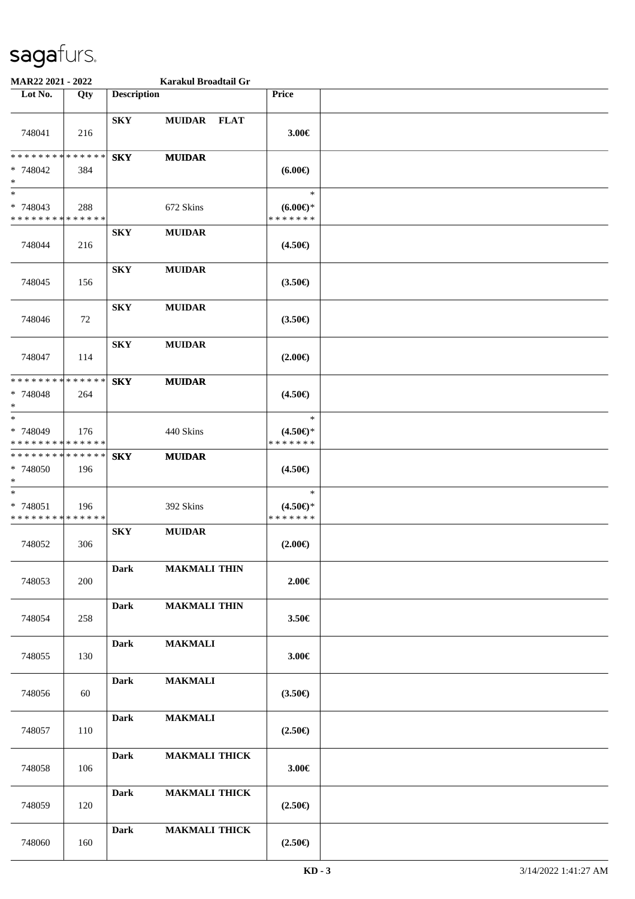| MAR22 2021 - 2022                                             |     |                    | Karakul Broadtail Gr |                                               |  |
|---------------------------------------------------------------|-----|--------------------|----------------------|-----------------------------------------------|--|
| Lot No.                                                       | Qty | <b>Description</b> |                      | Price                                         |  |
| 748041                                                        | 216 | <b>SKY</b>         | MUIDAR FLAT          | 3.00€                                         |  |
| * * * * * * * * <mark>* * * * * * *</mark><br>* 748042<br>$*$ | 384 | <b>SKY</b>         | <b>MUIDAR</b>        | $(6.00\epsilon)$                              |  |
| $*$<br>* 748043<br>* * * * * * * * * * * * * *                | 288 |                    | 672 Skins            | $\ast$<br>$(6.00\epsilon)$ *<br>* * * * * * * |  |
| 748044                                                        | 216 | <b>SKY</b>         | <b>MUIDAR</b>        | $(4.50\epsilon)$                              |  |
| 748045                                                        | 156 | <b>SKY</b>         | <b>MUIDAR</b>        | $(3.50\epsilon)$                              |  |
| 748046                                                        | 72  | <b>SKY</b>         | <b>MUIDAR</b>        | $(3.50\epsilon)$                              |  |
| 748047                                                        | 114 | <b>SKY</b>         | <b>MUIDAR</b>        | $(2.00\epsilon)$                              |  |
| * * * * * * * * * * * * * *<br>* 748048<br>$*$                | 264 | <b>SKY</b>         | <b>MUIDAR</b>        | $(4.50\epsilon)$                              |  |
| $*$<br>* 748049<br>* * * * * * * * * * * * * *                | 176 |                    | 440 Skins            | $\ast$<br>$(4.50 \in )^*$<br>* * * * * * *    |  |
| * * * * * * * * * * * * * * *<br>* 748050<br>$*$              | 196 | <b>SKY</b>         | <b>MUIDAR</b>        | $(4.50\epsilon)$                              |  |
| $*$<br>* 748051<br>* * * * * * * * * * * * * *                | 196 |                    | 392 Skins            | $\ast$<br>$(4.50 \in )^*$<br>* * * * * * *    |  |
| 748052                                                        | 306 | <b>SKY</b>         | <b>MUIDAR</b>        | $(2.00\epsilon)$                              |  |
| 748053                                                        | 200 | <b>Dark</b>        | <b>MAKMALI THIN</b>  | $2.00 \in$                                    |  |
| 748054                                                        | 258 | <b>Dark</b>        | <b>MAKMALI THIN</b>  | 3.50€                                         |  |
| 748055                                                        | 130 | <b>Dark</b>        | <b>MAKMALI</b>       | 3.00€                                         |  |
| 748056                                                        | 60  | <b>Dark</b>        | <b>MAKMALI</b>       | $(3.50\epsilon)$                              |  |
| 748057                                                        | 110 | <b>Dark</b>        | <b>MAKMALI</b>       | $(2.50\epsilon)$                              |  |
| 748058                                                        | 106 | <b>Dark</b>        | <b>MAKMALI THICK</b> | 3.00€                                         |  |
| 748059                                                        | 120 | <b>Dark</b>        | <b>MAKMALI THICK</b> | $(2.50\epsilon)$                              |  |
| 748060                                                        | 160 | <b>Dark</b>        | <b>MAKMALI THICK</b> | $(2.50\epsilon)$                              |  |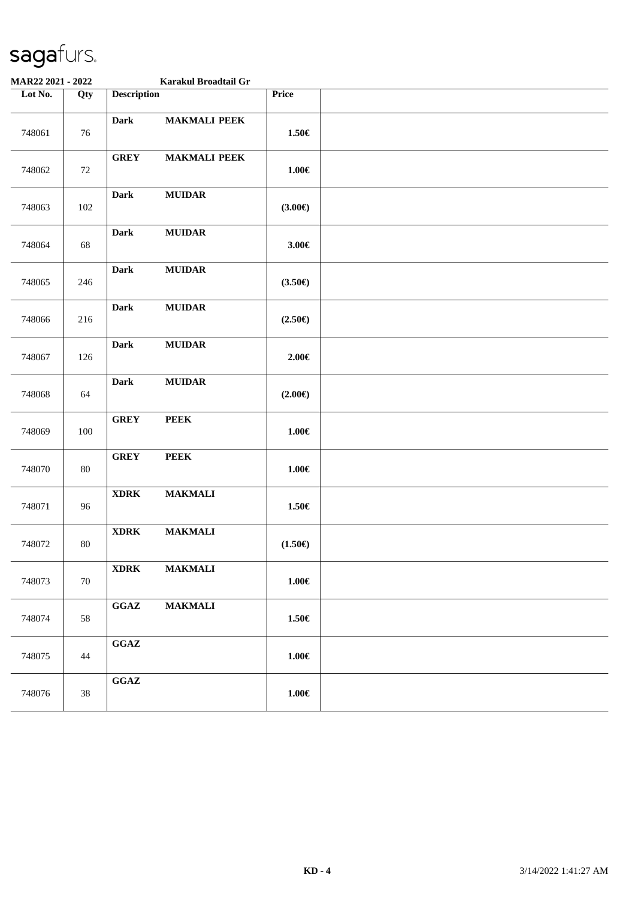|         | MAR22 2021 - 2022 |                                            | Karakul Broadtail Gr |                    |  |
|---------|-------------------|--------------------------------------------|----------------------|--------------------|--|
| Lot No. | Qty               | <b>Description</b>                         |                      | Price              |  |
| 748061  | 76                | <b>Dark</b>                                | <b>MAKMALI PEEK</b>  | $1.50\in$          |  |
| 748062  | 72                | <b>GREY</b>                                | <b>MAKMALI PEEK</b>  | $1.00\in$          |  |
| 748063  | 102               | <b>Dark</b>                                | <b>MUIDAR</b>        | $(3.00\epsilon)$   |  |
| 748064  | 68                | <b>Dark</b>                                | <b>MUIDAR</b>        | $3.00 \in$         |  |
| 748065  | 246               | <b>Dark</b>                                | <b>MUIDAR</b>        | $(3.50\epsilon)$   |  |
| 748066  | 216               | <b>Dark</b>                                | <b>MUIDAR</b>        | $(2.50\epsilon)$   |  |
| 748067  | 126               | <b>Dark</b>                                | <b>MUIDAR</b>        | 2.00€              |  |
| 748068  | 64                | <b>Dark</b>                                | <b>MUIDAR</b>        | $(2.00\epsilon)$   |  |
| 748069  | 100               | <b>GREY</b>                                | <b>PEEK</b>          | $1.00\in$          |  |
| 748070  | 80                | <b>GREY</b>                                | <b>PEEK</b>          | $1.00 \in$         |  |
| 748071  | 96                | $\bold{XDRK}$                              | <b>MAKMALI</b>       | $1.50\in$          |  |
| 748072  | $80\,$            | $\bold{X} \bold{D} \bold{R} \bold{K}$      | <b>MAKMALI</b>       | $(1.50\mathbb{E})$ |  |
| 748073  | 70                | <b>XDRK</b>                                | <b>MAKMALI</b>       | $1.00\in$          |  |
| 748074  | 58                | $\mathbf{G}\mathbf{G}\mathbf{A}\mathbf{Z}$ | <b>MAKMALI</b>       | 1.50€              |  |
| 748075  | 44                | $\mathbf{G}\mathbf{G}\mathbf{A}\mathbf{Z}$ |                      | $1.00\in$          |  |
| 748076  | 38                | $\mathbf{G}\mathbf{G}\mathbf{A}\mathbf{Z}$ |                      | $1.00\in$          |  |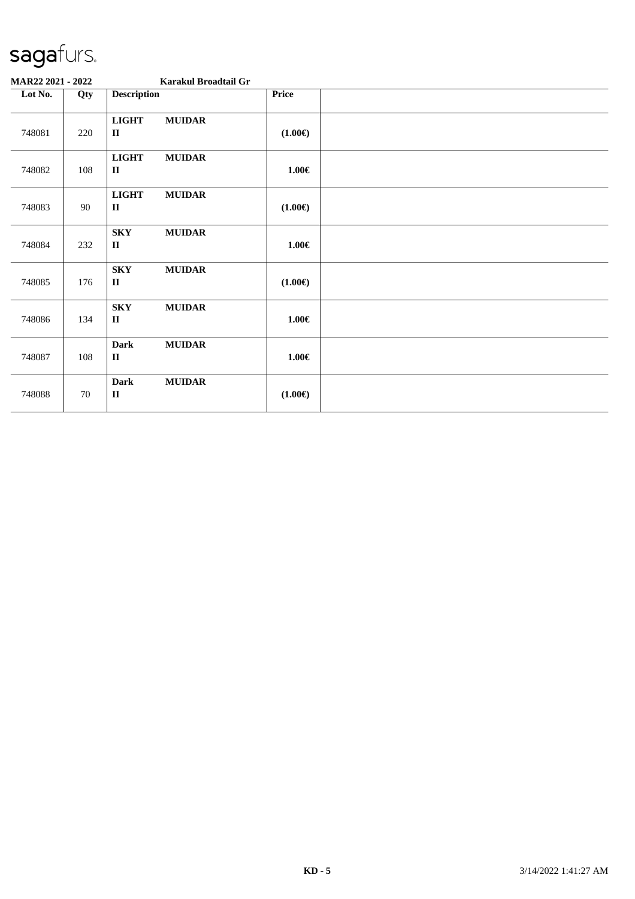| MAR22 2021 - 2022 |     |                                       | Karakul Broadtail Gr |                  |  |
|-------------------|-----|---------------------------------------|----------------------|------------------|--|
| Lot No.           | Qty | <b>Description</b>                    |                      | Price            |  |
| 748081            | 220 | <b>LIGHT</b><br>$\mathbf{I}$          | <b>MUIDAR</b>        | $(1.00\epsilon)$ |  |
| 748082            | 108 | <b>LIGHT</b><br>$\mathbf{I}$          | <b>MUIDAR</b>        | $1.00 \in$       |  |
| 748083            | 90  | <b>LIGHT</b><br>$\mathbf{I}$          | <b>MUIDAR</b>        | $(1.00\epsilon)$ |  |
| 748084            | 232 | <b>SKY</b><br>$\mathbf{I}\mathbf{I}$  | <b>MUIDAR</b>        | $1.00 \in$       |  |
| 748085            | 176 | <b>SKY</b><br>$\mathbf{I}\mathbf{I}$  | <b>MUIDAR</b>        | $(1.00\epsilon)$ |  |
| 748086            | 134 | <b>SKY</b><br>$\mathbf{I}$            | <b>MUIDAR</b>        | $1.00 \in$       |  |
| 748087            | 108 | <b>Dark</b><br>$\mathbf{I}$           | <b>MUIDAR</b>        | $1.00 \in$       |  |
| 748088            | 70  | <b>Dark</b><br>$\mathbf{I}\mathbf{I}$ | <b>MUIDAR</b>        | $(1.00\epsilon)$ |  |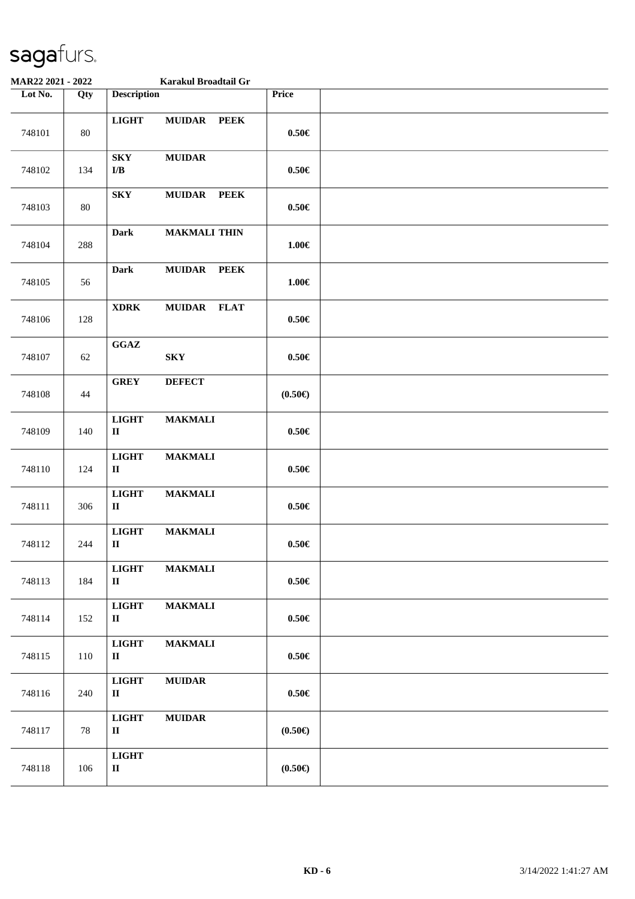| MAR22 2021 - 2022 |        |                                            | Karakul Broadtail Gr         |                  |  |
|-------------------|--------|--------------------------------------------|------------------------------|------------------|--|
| Lot No.           | Qty    | <b>Description</b>                         |                              | Price            |  |
| 748101            | $80\,$ | <b>LIGHT</b>                               | <b>MUIDAR</b><br><b>PEEK</b> | $0.50\in$        |  |
| 748102            | 134    | <b>SKY</b><br>$\mathbf{I}/\mathbf{B}$      | <b>MUIDAR</b>                | $0.50\in$        |  |
| 748103            | 80     | <b>SKY</b>                                 | <b>MUIDAR</b><br><b>PEEK</b> | $0.50 \in$       |  |
| 748104            | 288    | <b>Dark</b>                                | <b>MAKMALI THIN</b>          | $1.00\in$        |  |
| 748105            | 56     | <b>Dark</b>                                | <b>MUIDAR</b><br><b>PEEK</b> | $1.00 \in$       |  |
| 748106            | 128    | <b>XDRK</b>                                | <b>MUIDAR</b><br><b>FLAT</b> | $0.50\in$        |  |
| 748107            | 62     | $\mathbf{G}\mathbf{G}\mathbf{A}\mathbf{Z}$ | <b>SKY</b>                   | $0.50 \in$       |  |
| 748108            | 44     | <b>GREY</b>                                | <b>DEFECT</b>                | $(0.50\epsilon)$ |  |
| 748109            | 140    | <b>LIGHT</b><br>$\rm II$                   | <b>MAKMALI</b>               | $0.50\in$        |  |
| 748110            | 124    | <b>LIGHT</b><br>$\mathbf{I}$               | <b>MAKMALI</b>               | $0.50\in$        |  |
| 748111            | 306    | <b>LIGHT</b><br>$\rm II$                   | <b>MAKMALI</b>               | $0.50\in$        |  |
| 748112            | 244    | <b>LIGHT</b><br>$\mathbf{I}$               | <b>MAKMALI</b>               | $0.50\in$        |  |
| 748113            | 184    | <b>LIGHT</b><br>$\mathbf{I}$               | <b>MAKMALI</b>               | $0.50\in$        |  |
| 748114            | 152    | <b>LIGHT</b><br>$\mathbf{I}$               | <b>MAKMALI</b>               | $0.50\in$        |  |
| 748115            | 110    | <b>LIGHT</b><br>$\mathbf{I}$               | <b>MAKMALI</b>               | $0.50 \in$       |  |
| 748116            | 240    | <b>LIGHT</b><br>$\mathbf{I}$               | <b>MUIDAR</b>                | $0.50\in$        |  |
| 748117            | 78     | <b>LIGHT</b><br>$\mathbf{I}$               | <b>MUIDAR</b>                | $(0.50\epsilon)$ |  |
| 748118            | 106    | <b>LIGHT</b><br>$\rm II$                   |                              | $(0.50\epsilon)$ |  |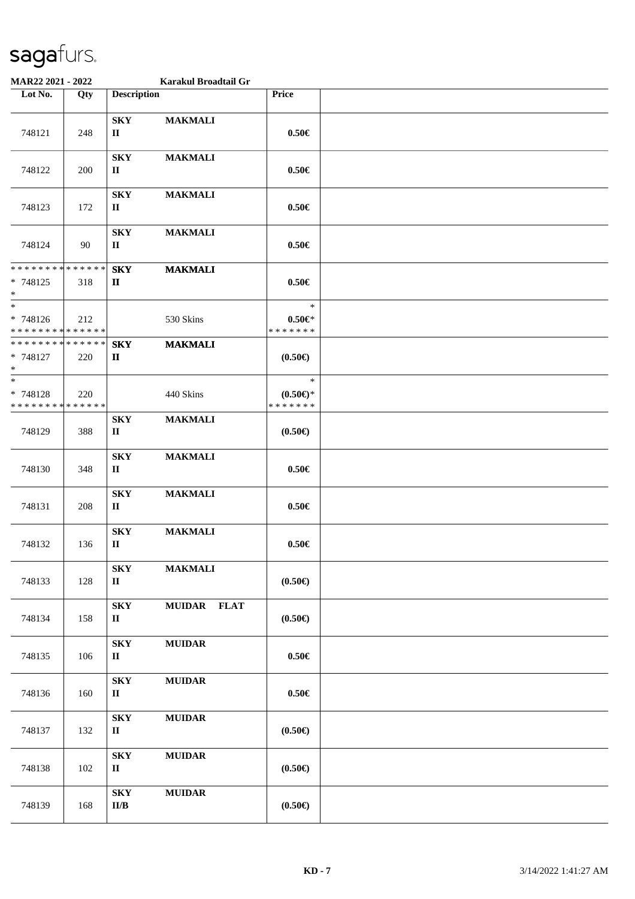| MAR22 2021 - 2022                                             |     |                                                     | Karakul Broadtail Gr |                                            |  |
|---------------------------------------------------------------|-----|-----------------------------------------------------|----------------------|--------------------------------------------|--|
| Lot No.                                                       | Qty | <b>Description</b>                                  |                      | Price                                      |  |
| 748121                                                        | 248 | ${\bf S}{\bf K}{\bf Y}$<br>$\mathbf H$              | <b>MAKMALI</b>       | $0.50 \in$                                 |  |
| 748122                                                        | 200 | <b>SKY</b><br>$\mathbf H$                           | <b>MAKMALI</b>       | $0.50 \in$                                 |  |
| 748123                                                        | 172 | <b>SKY</b><br>$\mathbf H$                           | <b>MAKMALI</b>       | $0.50 \in$                                 |  |
| 748124                                                        | 90  | <b>SKY</b><br>П                                     | <b>MAKMALI</b>       | $0.50 \in$                                 |  |
| * * * * * * * * <mark>* * * * * * *</mark><br>* 748125<br>$*$ | 318 | <b>SKY</b><br>П                                     | <b>MAKMALI</b>       | $0.50 \in$                                 |  |
| $*$<br>* 748126<br>* * * * * * * * * * * * * *                | 212 |                                                     | 530 Skins            | $\ast$<br>$0.50 \in$ *<br>* * * * * * *    |  |
| * * * * * * * * * * * * * *<br>* 748127<br>$*$                | 220 | <b>SKY</b><br>П                                     | <b>MAKMALI</b>       | $(0.50 \infty)$                            |  |
| $*$<br>* 748128<br>* * * * * * * * * * * * * *                | 220 |                                                     | 440 Skins            | $\ast$<br>$(0.50 \in )^*$<br>* * * * * * * |  |
| 748129                                                        | 388 | ${\bf S}{\bf K}{\bf Y}$<br>П                        | <b>MAKMALI</b>       | $(0.50 \infty)$                            |  |
| 748130                                                        | 348 | ${\bf S}{\bf K}{\bf Y}$<br>П                        | <b>MAKMALI</b>       | $0.50 \in$                                 |  |
| 748131                                                        | 208 | ${\bf S}{\bf K}{\bf Y}$<br>$\mathbf H$              | <b>MAKMALI</b>       | $0.50 \in$                                 |  |
| 748132                                                        | 136 | ${\bf S}{\bf K}{\bf Y}$<br>$\mathbf H$              | <b>MAKMALI</b>       | $0.50 \in$                                 |  |
| 748133                                                        | 128 | <b>SKY</b><br>$\mathbf{I}$                          | <b>MAKMALI</b>       | $(0.50 \infty)$                            |  |
| 748134                                                        | 158 | <b>SKY</b><br>$\rm II$                              | MUIDAR FLAT          | $(0.50 \infty)$                            |  |
| 748135                                                        | 106 | <b>SKY</b><br>$\mathbf{I}$                          | <b>MUIDAR</b>        | $0.50\in$                                  |  |
| 748136                                                        | 160 | ${\bf S}{\bf K}{\bf Y}$<br>$\mathbf{I}$             | <b>MUIDAR</b>        | $0.50 \in$                                 |  |
| 748137                                                        | 132 | <b>SKY</b><br>$\rm II$                              | $\bf MUIDAR$         | (0.50)                                     |  |
| 748138                                                        | 102 | ${\bf S}{\bf K}{\bf Y}$<br>$\mathbf{I}$             | <b>MUIDAR</b>        | $(0.50 \infty)$                            |  |
| 748139                                                        | 168 | ${\bf S}{\bf K}{\bf Y}$<br>$\mathbf{II}/\mathbf{B}$ | <b>MUIDAR</b>        | $(0.50 \infty)$                            |  |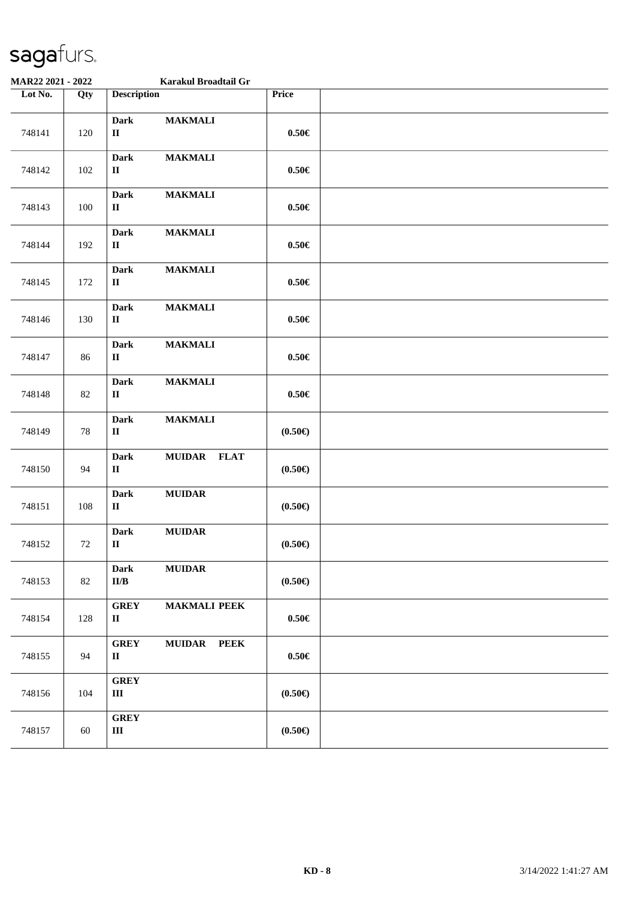| MAR22 2021 - 2022 |     | Karakul Broadtail Gr                                 |                     |                 |  |
|-------------------|-----|------------------------------------------------------|---------------------|-----------------|--|
| Lot No.           | Qty | <b>Description</b>                                   |                     | Price           |  |
| 748141            | 120 | <b>Dark</b><br>$\rm II$                              | <b>MAKMALI</b>      | $0.50\in$       |  |
| 748142            | 102 | <b>Dark</b><br>$\rm II$                              | <b>MAKMALI</b>      | $0.50\in$       |  |
| 748143            | 100 | <b>Dark</b><br>$\rm II$                              | <b>MAKMALI</b>      | $0.50 \in$      |  |
| 748144            | 192 | <b>Dark</b><br>$\mathbf H$                           | <b>MAKMALI</b>      | $0.50 \in$      |  |
| 748145            | 172 | <b>Dark</b><br>$\mathbf{I}$                          | <b>MAKMALI</b>      | $0.50 \in$      |  |
| 748146            | 130 | <b>Dark</b><br>$\mathbf H$                           | <b>MAKMALI</b>      | $0.50\in$       |  |
| 748147            | 86  | <b>Dark</b><br>$\rm II$                              | <b>MAKMALI</b>      | $0.50\in$       |  |
| 748148            | 82  | <b>Dark</b><br>$\rm II$                              | <b>MAKMALI</b>      | $0.50\in$       |  |
| 748149            | 78  | <b>Dark</b><br>$\mathbf{I}$                          | <b>MAKMALI</b>      | $(0.50 \infty)$ |  |
| 748150            | 94  | <b>Dark</b><br>$\mathbf{I}$                          | MUIDAR FLAT         | $(0.50 \infty)$ |  |
| 748151            | 108 | Dark<br>$\mathbf H$                                  | <b>MUIDAR</b>       | $(0.50 \infty)$ |  |
| 748152            | 72  | Dark<br>$\rm II$                                     | ${\bf MUIDAR}$      | $(0.50 \infty)$ |  |
| 748153            | 82  | <b>Dark</b><br>$\mathbf{II}/\mathbf{B}$              | <b>MUIDAR</b>       | $(0.50 \infty)$ |  |
| 748154            | 128 | <b>GREY</b><br>$\rm II$                              | <b>MAKMALI PEEK</b> | $0.50\in$       |  |
| 748155            | 94  | <b>GREY</b><br>$\rm II$                              | MUIDAR PEEK         | $0.50\in$       |  |
| 748156            | 104 | <b>GREY</b><br>$\rm III$                             |                     | $(0.50 \infty)$ |  |
| 748157            | 60  | ${\bf G}\mathbf{R}\mathbf{E}\mathbf{Y}$<br>$\rm III$ |                     | $(0.50 \infty)$ |  |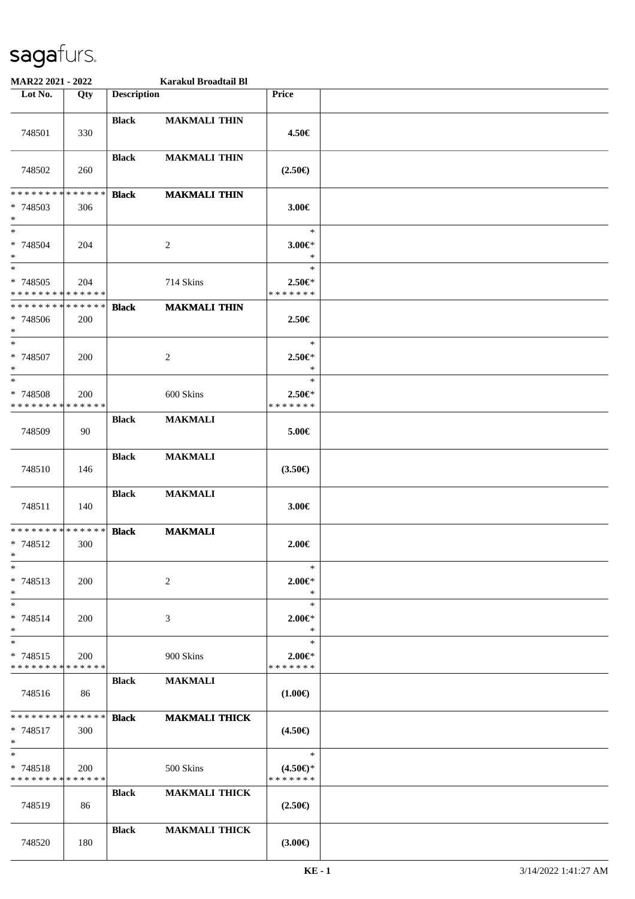| MAR22 2021 - 2022                                      |     |                    | Karakul Broadtail Bl |                                         |  |
|--------------------------------------------------------|-----|--------------------|----------------------|-----------------------------------------|--|
| Lot No.                                                | Qty | <b>Description</b> |                      | Price                                   |  |
| 748501                                                 | 330 | <b>Black</b>       | <b>MAKMALI THIN</b>  | 4.50€                                   |  |
| 748502                                                 | 260 | <b>Black</b>       | <b>MAKMALI THIN</b>  | $(2.50\epsilon)$                        |  |
| * * * * * * * * * * * * * *<br>* 748503<br>$*$         | 306 | <b>Black</b>       | <b>MAKMALI THIN</b>  | 3.00€                                   |  |
| $*$<br>* 748504<br>$*$                                 | 204 |                    | 2                    | $\ast$<br>$3.00 \in$ *<br>$\ast$        |  |
| $*$<br>* 748505<br>* * * * * * * * * * * * * *         | 204 |                    | 714 Skins            | $\ast$<br>$2.50 \in$<br>*******         |  |
| * * * * * * * * * * * * * *<br>* 748506<br>$\ast$      | 200 | <b>Black</b>       | <b>MAKMALI THIN</b>  | 2.50€                                   |  |
| $\ast$<br>* 748507<br>$*$                              | 200 |                    | 2                    | $\ast$<br>$2.50 \in$<br>$\ast$          |  |
| $*$<br>* 748508<br>* * * * * * * * * * * * * *         | 200 |                    | 600 Skins            | $\ast$<br>$2.50 \in$<br>* * * * * * *   |  |
| 748509                                                 | 90  | <b>Black</b>       | <b>MAKMALI</b>       | 5.00€                                   |  |
| 748510                                                 | 146 | <b>Black</b>       | <b>MAKMALI</b>       | $(3.50\epsilon)$                        |  |
| 748511                                                 | 140 | <b>Black</b>       | <b>MAKMALI</b>       | 3.00€                                   |  |
| * * * * * * * * * * * * * *<br>* 748512<br>$*$         | 300 | <b>Black</b>       | <b>MAKMALI</b>       | $2.00 \in$                              |  |
| $*$<br>* 748513<br>$*$                                 | 200 |                    | $\overline{c}$       | $\ast$<br>$2.00 \in$ *<br>$\ast$        |  |
| $*$<br>* 748514<br>$*$                                 | 200 |                    | 3                    | $\ast$<br>$2.00 \in$ *<br>$\ast$        |  |
| $*$<br>$* 748515$<br>* * * * * * * * * * * * * *       | 200 |                    | 900 Skins            | $\ast$<br>$2.00 \in$ *<br>* * * * * * * |  |
| 748516                                                 | 86  | <b>Black</b>       | <b>MAKMALI</b>       | $(1.00\epsilon)$                        |  |
| * * * * * * * * * * * * * * *<br>$* 748517$<br>$*$ $*$ | 300 | <b>Black</b>       | <b>MAKMALI THICK</b> | $(4.50\epsilon)$                        |  |
| $*$<br>$* 748518$<br>* * * * * * * * * * * * * *       | 200 |                    | 500 Skins            | $\ast$<br>$(4.50\epsilon)$ *<br>******* |  |
| 748519                                                 | 86  | <b>Black</b>       | <b>MAKMALI THICK</b> | $(2.50\epsilon)$                        |  |
| 748520                                                 | 180 | <b>Black</b>       | <b>MAKMALI THICK</b> | $(3.00\epsilon)$                        |  |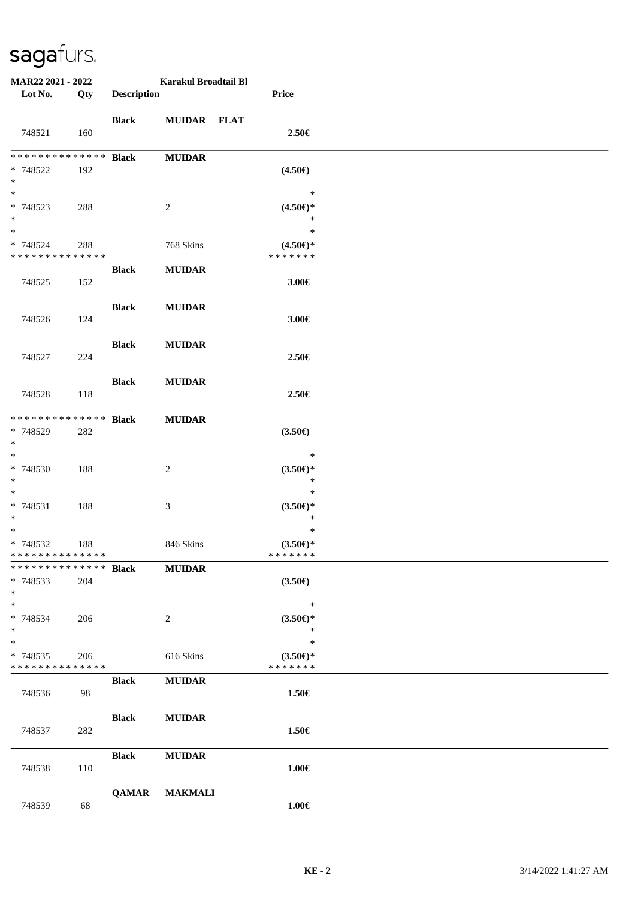| MAR22 2021 - 2022                                   |     |                    | Karakul Broadtail Bl |                                                  |  |
|-----------------------------------------------------|-----|--------------------|----------------------|--------------------------------------------------|--|
| Lot No.                                             | Qty | <b>Description</b> |                      | Price                                            |  |
| 748521                                              | 160 | <b>Black</b>       | MUIDAR FLAT          | 2.50€                                            |  |
| * * * * * * * * * * * * * *<br>* 748522<br>$*$      | 192 | <b>Black</b>       | <b>MUIDAR</b>        | $(4.50\epsilon)$                                 |  |
| $*$<br>* 748523<br>$\ast$<br>$*$                    | 288 |                    | $\overline{c}$       | $\ast$<br>$(4.50\epsilon)$ *<br>$\ast$<br>$\ast$ |  |
| * 748524<br>* * * * * * * * * * * * * *             | 288 |                    | 768 Skins            | $(4.50\epsilon)$ *<br>* * * * * * *              |  |
| 748525                                              | 152 | <b>Black</b>       | <b>MUIDAR</b>        | 3.00€                                            |  |
| 748526                                              | 124 | <b>Black</b>       | <b>MUIDAR</b>        | 3.00€                                            |  |
| 748527                                              | 224 | <b>Black</b>       | <b>MUIDAR</b>        | 2.50€                                            |  |
| 748528                                              | 118 | <b>Black</b>       | <b>MUIDAR</b>        | 2.50€                                            |  |
| * * * * * * * * * * * * * *<br>* 748529<br>$\ast$   | 282 | <b>Black</b>       | <b>MUIDAR</b>        | $(3.50\epsilon)$                                 |  |
| $*$<br>* 748530<br>$\ast$                           | 188 |                    | 2                    | $\ast$<br>$(3.50\epsilon)$ *<br>$\ast$           |  |
| $*$<br>* 748531<br>$*$                              | 188 |                    | 3                    | $\ast$<br>$(3.50 \in )^*$<br>$\ast$              |  |
| $*$<br>* 748532<br>* * * * * * * * * * * * * *      | 188 |                    | 846 Skins            | $\ast$<br>$(3.50 \in )^*$<br>* * * * * * *       |  |
| * * * * * * * * * * * * * * *<br>* 748533<br>$*$    | 204 | <b>Black</b>       | <b>MUIDAR</b>        | $(3.50\epsilon)$                                 |  |
| $*$<br>* 748534<br>$*$                              | 206 |                    | 2                    | $\ast$<br>$(3.50 \in )^*$<br>$\ast$              |  |
| $\ast$<br>* 748535<br>* * * * * * * * * * * * * * * | 206 |                    | 616 Skins            | $\ast$<br>$(3.50\epsilon)$ *<br>* * * * * * *    |  |
| 748536                                              | 98  | <b>Black</b>       | <b>MUIDAR</b>        | $1.50 \in$                                       |  |
| 748537                                              | 282 | <b>Black</b>       | <b>MUIDAR</b>        | 1.50€                                            |  |
| 748538                                              | 110 | <b>Black</b>       | <b>MUIDAR</b>        | 1.00€                                            |  |
| 748539                                              | 68  | <b>QAMAR</b>       | <b>MAKMALI</b>       | $1.00\in$                                        |  |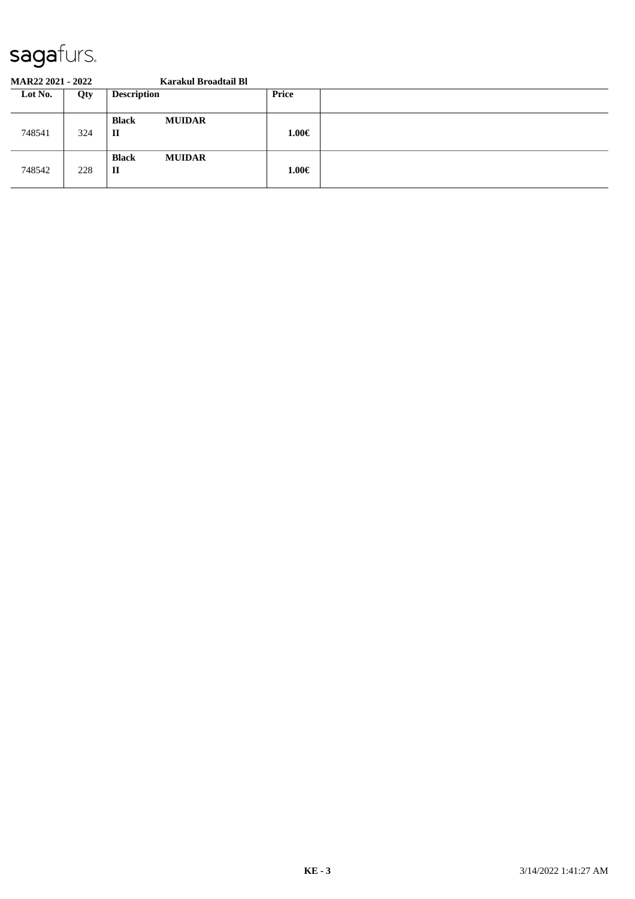#### **MAR22 2021 - 2022 Karakul Broadtail Bl**

| Lot No. | Qty | <b>Description</b>                            | Price      |  |
|---------|-----|-----------------------------------------------|------------|--|
| 748541  | 324 | <b>MUIDAR</b><br><b>Black</b><br>$\mathbf{I}$ | $1.00 \in$ |  |
| 748542  | 228 | <b>MUIDAR</b><br><b>Black</b><br>$\mathbf{I}$ | $1.00 \in$ |  |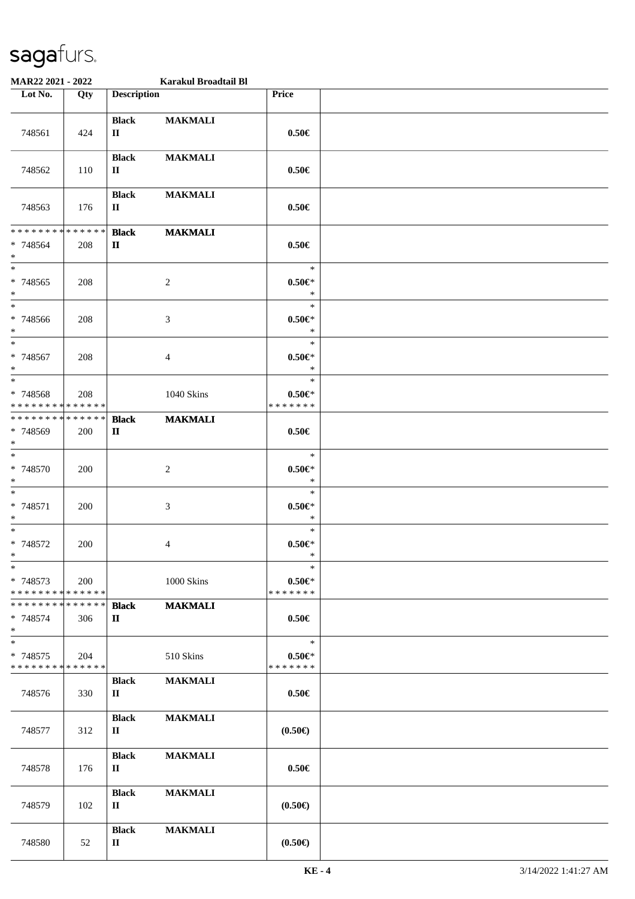| MAR22 2021 - 2022                                 |     |                              | Karakul Broadtail Bl |                                         |  |
|---------------------------------------------------|-----|------------------------------|----------------------|-----------------------------------------|--|
| Lot No.                                           | Qty | <b>Description</b>           |                      | Price                                   |  |
| 748561                                            | 424 | <b>Black</b><br>$\mathbf{I}$ | <b>MAKMALI</b>       | $0.50 \in$                              |  |
| 748562                                            | 110 | <b>Black</b><br>$\mathbf{I}$ | <b>MAKMALI</b>       | $0.50 \in$                              |  |
| 748563                                            | 176 | <b>Black</b><br>П            | <b>MAKMALI</b>       | $0.50 \in$                              |  |
| * * * * * * * * * * * * * *<br>* 748564<br>$*$    | 208 | <b>Black</b><br>$\mathbf{I}$ | <b>MAKMALI</b>       | $0.50 \in$                              |  |
| $\ast$<br>$* 748565$<br>$*$                       | 208 |                              | $\overline{c}$       | $\ast$<br>$0.50 \in$<br>$\ast$          |  |
| $*$<br>$* 748566$<br>$*$                          | 208 |                              | 3                    | $\ast$<br>$0.50 \in$<br>$\ast$          |  |
| $*$<br>* 748567<br>$*$                            | 208 |                              | 4                    | $\ast$<br>$0.50 \in$<br>$\ast$          |  |
| $\ast$<br>* 748568<br>* * * * * * * * * * * * * * | 208 |                              | 1040 Skins           | $\ast$<br>$0.50 \in$ *<br>* * * * * * * |  |
| * * * * * * * * * * * * * *<br>* 748569<br>$*$    | 200 | <b>Black</b><br>$\mathbf{I}$ | <b>MAKMALI</b>       | $0.50 \in$                              |  |
| $*$<br>$* 748570$<br>$*$                          | 200 |                              | $\overline{c}$       | $\ast$<br>$0.50 \in$<br>$\ast$          |  |
| $*$<br>* 748571<br>$*$                            | 200 |                              | 3                    | $\ast$<br>$0.50 \in$<br>$\ast$          |  |
| $*$<br>$* 748572$<br>$*$                          | 200 |                              | 4                    | $\ast$<br>$0.50 \in$<br>$\ast$          |  |
| $*$<br>* 748573<br>* * * * * * * * * * * * * *    | 200 |                              | 1000 Skins           | $\ast$<br>$0.50 \in$ *<br>* * * * * * * |  |
| * * * * * * * * * * * * * * *<br>* 748574<br>$*$  | 306 | <b>Black</b><br>$\mathbf{I}$ | <b>MAKMALI</b>       | $0.50\in$                               |  |
| $*$<br>* 748575<br>* * * * * * * * * * * * * *    | 204 |                              | 510 Skins            | $\ast$<br>$0.50 \in$ *<br>* * * * * * * |  |
| 748576                                            | 330 | <b>Black</b><br>$\mathbf{I}$ | <b>MAKMALI</b>       | $0.50 \in$                              |  |
| 748577                                            | 312 | <b>Black</b><br>П            | <b>MAKMALI</b>       | $(0.50\epsilon)$                        |  |
| 748578                                            | 176 | <b>Black</b><br>П            | <b>MAKMALI</b>       | $0.50 \in$                              |  |
| 748579                                            | 102 | <b>Black</b><br>$\mathbf{I}$ | <b>MAKMALI</b>       | $(0.50 \in )$                           |  |
| 748580                                            | 52  | <b>Black</b><br>П            | <b>MAKMALI</b>       | $(0.50 \infty)$                         |  |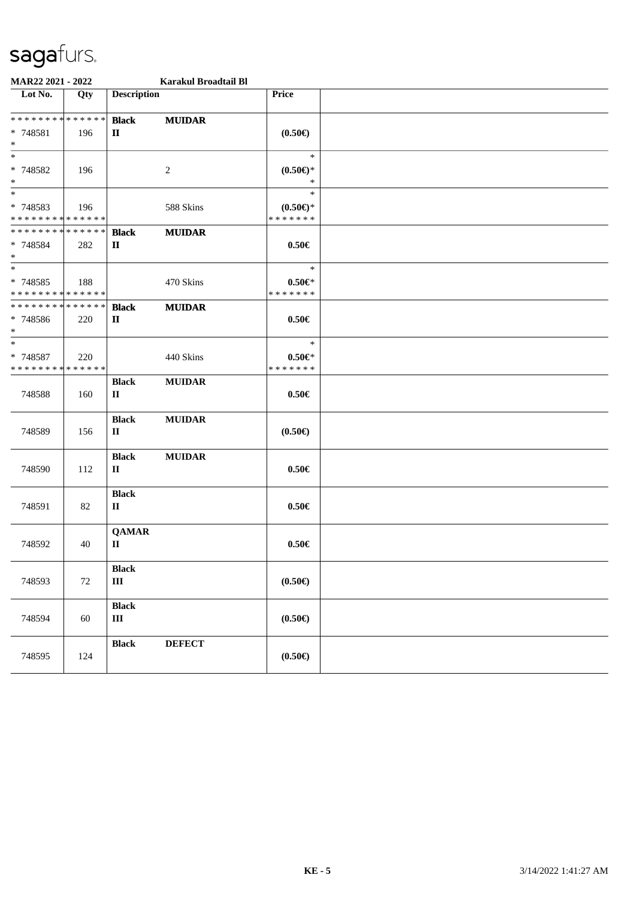| MAR22 2021 - 2022                                                |        |                              | Karakul Broadtail Bl |                                            |  |
|------------------------------------------------------------------|--------|------------------------------|----------------------|--------------------------------------------|--|
| Lot No.                                                          | Qty    | <b>Description</b>           |                      | <b>Price</b>                               |  |
| * * * * * * * * * * * * * * *<br>* 748581<br>$*$                 | 196    | <b>Black</b><br>П            | <b>MUIDAR</b>        | $(0.50\epsilon)$                           |  |
| $*$<br>* 748582<br>$*$                                           | 196    |                              | 2                    | $\ast$<br>$(0.50 \in )^*$<br>$\ast$        |  |
| $*$<br>* 748583<br>* * * * * * * * * * * * * *                   | 196    |                              | 588 Skins            | $\ast$<br>$(0.50 \in )^*$<br>* * * * * * * |  |
| * * * * * * * * <mark>* * * * * * *</mark><br>* 748584<br>$\ast$ | 282    | <b>Black</b><br>П            | <b>MUIDAR</b>        | $0.50 \in$                                 |  |
| $\overline{\ast}$<br>* 748585<br>* * * * * * * * * * * * * *     | 188    |                              | 470 Skins            | $\ast$<br>$0.50 \in$<br>* * * * * * *      |  |
| * * * * * * * * * * * * * *<br>* 748586<br>$*$                   | 220    | <b>Black</b><br>П            | <b>MUIDAR</b>        | $0.50 \in$                                 |  |
| $*$<br>* 748587<br>* * * * * * * * * * * * * *                   | 220    |                              | 440 Skins            | $\ast$<br>$0.50 \in$ *<br>* * * * * * *    |  |
| 748588                                                           | 160    | <b>Black</b><br>$\mathbf{I}$ | <b>MUIDAR</b>        | $0.50 \in$                                 |  |
| 748589                                                           | 156    | <b>Black</b><br>$\mathbf{I}$ | <b>MUIDAR</b>        | $(0.50\epsilon)$                           |  |
| 748590                                                           | 112    | <b>Black</b><br>П            | <b>MUIDAR</b>        | $0.50 \in$                                 |  |
| 748591                                                           | 82     | <b>Black</b><br>$\mathbf{I}$ |                      | $0.50 \in$                                 |  |
| 748592                                                           | 40     | <b>QAMAR</b><br>$\mathbf{I}$ |                      | $0.50 \in$                                 |  |
| 748593                                                           | $72\,$ | <b>Black</b><br>$\rm III$    |                      | $(0.50 \infty)$                            |  |
| 748594                                                           | 60     | <b>Black</b><br>$\rm III$    |                      | $(0.50 \in )$                              |  |
| 748595                                                           | 124    | <b>Black</b>                 | <b>DEFECT</b>        | $(0.50 \infty)$                            |  |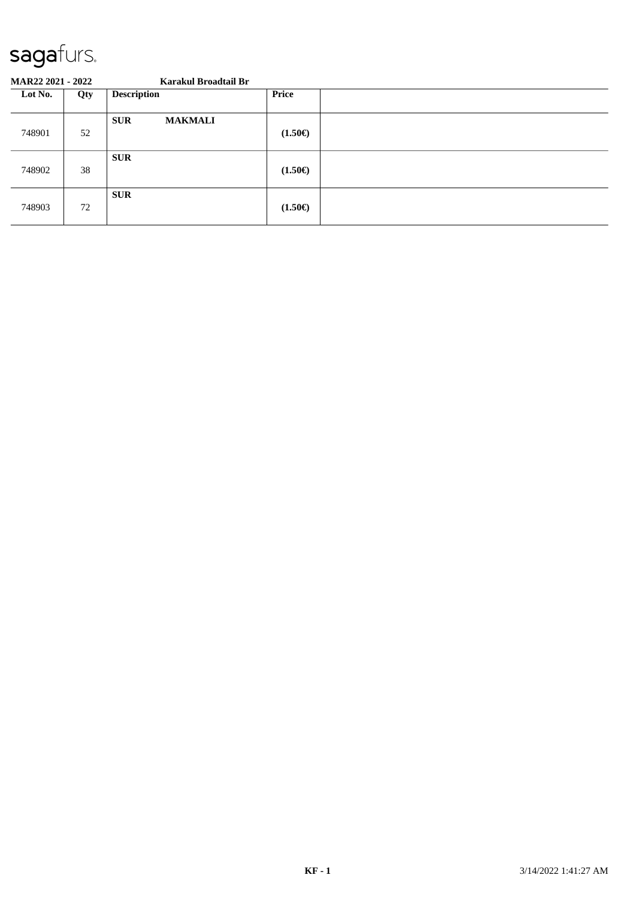#### **MAR22 2021 - 2022 Karakul Broadtail Br**

| Lot No. | Qty | <b>Description</b>           | Price            |  |
|---------|-----|------------------------------|------------------|--|
| 748901  | 52  | <b>SUR</b><br><b>MAKMALI</b> | $(1.50\epsilon)$ |  |
| 748902  | 38  | <b>SUR</b>                   | $(1.50\epsilon)$ |  |
| 748903  | 72  | <b>SUR</b>                   | $(1.50\epsilon)$ |  |